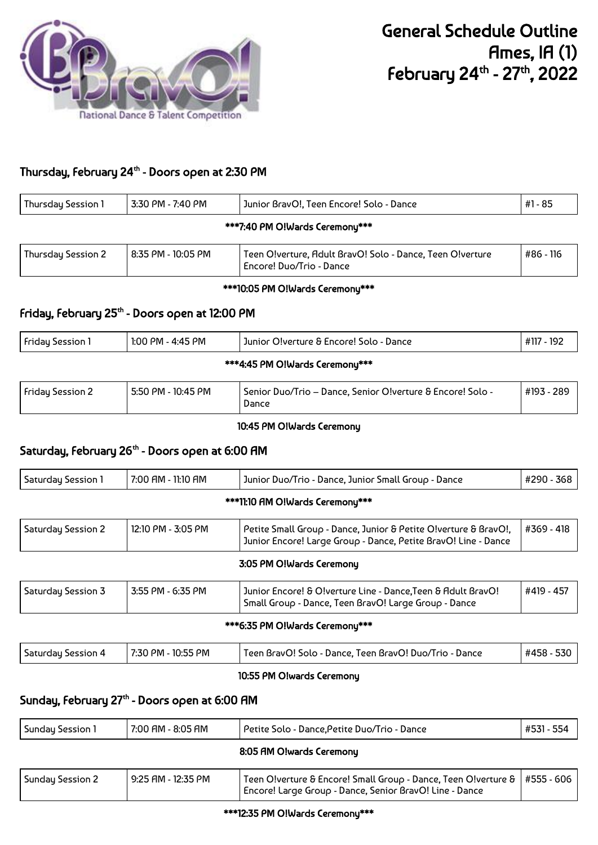

# Thursday, February 24<sup>th</sup> - Doors open at 2:30 PM

| Thursday Session 1 | 3:30 PM - 7:40 PM              | Junior BravO!, Teen Encore! Solo - Dance                                              | #1 - 85   |  |  |
|--------------------|--------------------------------|---------------------------------------------------------------------------------------|-----------|--|--|
|                    | ***7:40 PM O!Wards Ceremony*** |                                                                                       |           |  |  |
| Thursday Session 2 | 8:35 PM - 10:05 PM             | Teen O!verture, Adult BravO! Solo - Dance, Teen O!verture<br>Encore! Duo/Trio - Dance | #86 - 116 |  |  |

### \*\*\*10:05 PM O!Wards Ceremony\*\*\*

# Friday, February 25<sup>th</sup> - Doors open at 12:00 PM

| <b>Friday Session 1</b>        | 1:00 PM - 4:45 PM | Junior O!verture & Encore! Solo - Dance | #117 - 192 |  |
|--------------------------------|-------------------|-----------------------------------------|------------|--|
| ***4:45 PM O!Wards Ceremony*** |                   |                                         |            |  |

| #193 - 289<br><b>Friday Session 2</b><br>5:50 PM - 10:45 PM<br>Senior Duo/Trio – Dance, Senior O!verture & Encore! Solo -<br>Dance |  |
|------------------------------------------------------------------------------------------------------------------------------------|--|
|------------------------------------------------------------------------------------------------------------------------------------|--|

### 10:45 PM O!Wards Ceremony

## Saturday, February 26<sup>th</sup> - Doors open at 6:00 AM

| Saturday Session 1              | 7:00 AM - 11:10 AM | Junior Duo/Trio - Dance, Junior Small Group - Dance                                                                               | #290 - 368 |  |
|---------------------------------|--------------------|-----------------------------------------------------------------------------------------------------------------------------------|------------|--|
| ***11:10 AM O!Wards Ceremony*** |                    |                                                                                                                                   |            |  |
| Saturday Session 2              | 12:10 PM - 3:05 PM | Petite Small Group - Dance, Junior & Petite O!verture & BravO!,<br>Junior Encore! Large Group - Dance, Petite BravO! Line - Dance | #369 - 418 |  |
|                                 |                    | 3:05 PM O!Wards Ceremony                                                                                                          |            |  |
| Saturday Session 3              | 3:55 PM - 6:35 PM  | Junior Encore! & O!verture Line - Dance, Teen & Adult BravO!<br>Small Group - Dance, Teen BravO! Large Group - Dance              | #419 - 457 |  |

#### \*\*\*6:35 PM O!Wards Ceremony\*\*\*

| Saturday Session 4 | ) PM - 10:55 PM<br>7:30 | Teen BravO! Solo - Dance, Teen BravO! Duo/Trio - Dance | #458 -<br>აას |
|--------------------|-------------------------|--------------------------------------------------------|---------------|
|                    |                         |                                                        |               |

## 10:55 PM O!wards Ceremony

## Sunday, February 27<sup>th</sup> - Doors open at 6:00 AM

| Sunday Session 1 | 7:00 AM - 8:05 AM        | Petite Solo - Dance, Petite Duo/Trio - Dance                                                                                | #531 - 554   |  |
|------------------|--------------------------|-----------------------------------------------------------------------------------------------------------------------------|--------------|--|
|                  | 8:05 AM O!wards Ceremony |                                                                                                                             |              |  |
| Sunday Session 2 | 9:25 AM - 12:35 PM       | Teen Olverture & Encore! Small Group - Dance, Teen Olverture &  <br>Encore! Large Group - Dance, Senior BravO! Line - Dance | l #555 - 606 |  |

#### \*\*\*12:35 PM O!Wards Ceremony\*\*\*